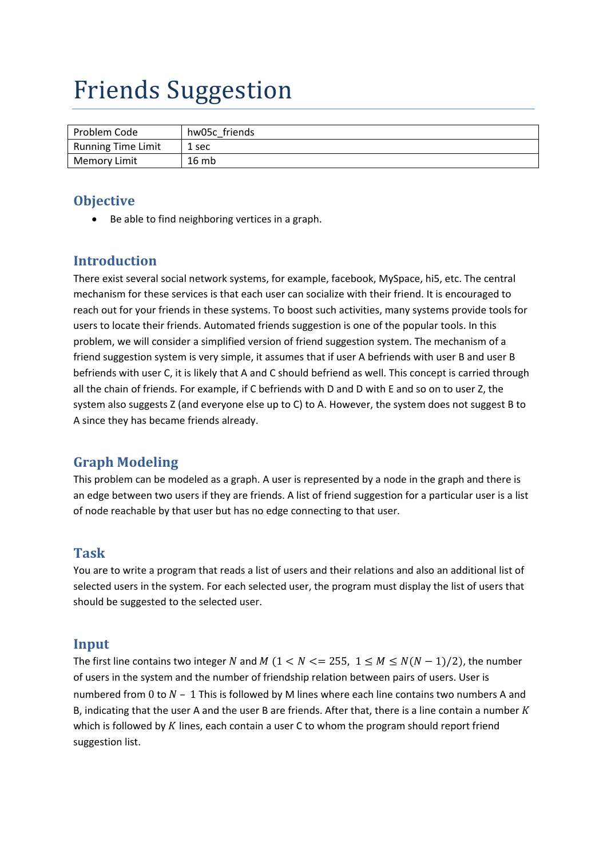# Friends Suggestion

| Problem Code              | hw05c friends |
|---------------------------|---------------|
| <b>Running Time Limit</b> | 1 sec         |
| Memory Limit              | 16mb          |

#### **Objective**

Be able to find neighboring vertices in a graph.

## **Introduction**

There exist several social network systems, for example, facebook, MySpace, hi5, etc. The central mechanism for these services is that each user can socialize with their friend. It is encouraged to reach out for your friends in these systems. To boost such activities, many systems provide tools for users to locate their friends. Automated friends suggestion is one of the popular tools. In this problem, we will consider a simplified version of friend suggestion system. The mechanism of a friend suggestion system is very simple, it assumes that if user A befriends with user B and user B befriends with user C, it is likely that A and C should befriend as well. This concept is carried through all the chain of friends. For example, if C befriends with D and D with E and so on to user Z, the system also suggests Z (and everyone else up to C) to A. However, the system does not suggest B to A since they has became friends already.

# **Graph Modeling**

This problem can be modeled as a graph. A user is represented by a node in the graph and there is an edge between two users if they are friends. A list of friend suggestion for a particular user is a list of node reachable by that user but has no edge connecting to that user.

#### **Task**

You are to write a program that reads a list of users and their relations and also an additional list of selected users in the system. For each selected user, the program must display the list of users that should be suggested to the selected user.

#### **Input**

The first line contains two integer N and M ( $1 < N < = 255$ ,  $1 \le M \le N(N-1)/2$ ), the number of users in the system and the number of friendship relation between pairs of users. User is numbered from 0 to  $N - 1$  This is followed by M lines where each line contains two numbers A and B, indicating that the user A and the user B are friends. After that, there is a line contain a number  $K$ which is followed by  $K$  lines, each contain a user C to whom the program should report friend suggestion list.